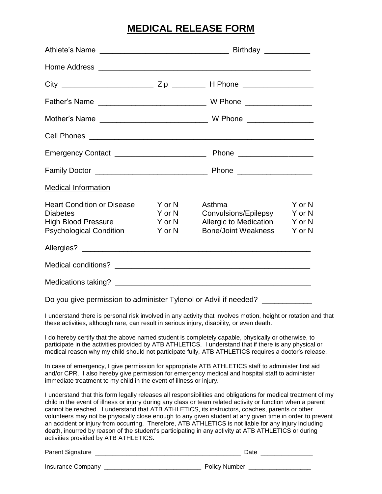# **MEDICAL RELEASE FORM**

| <b>Medical Information</b>                                                                                                                                                                                                                                                                                                     |                                      |                                                                                        |                                      |
|--------------------------------------------------------------------------------------------------------------------------------------------------------------------------------------------------------------------------------------------------------------------------------------------------------------------------------|--------------------------------------|----------------------------------------------------------------------------------------|--------------------------------------|
| <b>Heart Condition or Disease</b><br><b>Diabetes</b><br><b>High Blood Pressure</b><br><b>Psychological Condition</b>                                                                                                                                                                                                           | Y or N<br>Y or N<br>Y or N<br>Y or N | Asthma<br>Convulsions/Epilepsy<br>Allergic to Medication<br><b>Bone/Joint Weakness</b> | Y or N<br>Y or N<br>Y or N<br>Y or N |
|                                                                                                                                                                                                                                                                                                                                |                                      |                                                                                        |                                      |
|                                                                                                                                                                                                                                                                                                                                |                                      |                                                                                        |                                      |
|                                                                                                                                                                                                                                                                                                                                |                                      |                                                                                        |                                      |
| Do you give permission to administer Tylenol or Advil if needed? ______________                                                                                                                                                                                                                                                |                                      |                                                                                        |                                      |
| I understand there is personal risk involved in any activity that involves motion, height or rotation and that<br>these activities, although rare, can result in serious injury, disability, or even death.                                                                                                                    |                                      |                                                                                        |                                      |
| I do hereby certify that the above named student is completely capable, physically or otherwise, to<br>participate in the activities provided by ATB ATHLETICS. I understand that if there is any physical or<br>medical reason why my child should not participate fully, ATB ATHLETICS requires a doctor's release.          |                                      |                                                                                        |                                      |
| In case of emergency, I give permission for appropriate ATB ATHLETICS staff to administer first aid<br>and/or CPR. I also hereby give permission for emergency medical and hospital staff to administer<br>immediate treatment to my child in the event of illness or injury.                                                  |                                      |                                                                                        |                                      |
| I understand that this form legally releases all responsibilities and obligations for medical treatment of my<br>child in the event of illness or injury during any class or team related activity or function when a parent<br>cannot be reached. I understand that ATB ATHLETICS, its instructors, coaches, parents or other |                                      |                                                                                        |                                      |

volunteers may not be physically close enough to any given student at any given time in order to prevent an accident or injury from occurring. Therefore, ATB ATHLETICS is not liable for any injury including death, incurred by reason of the student's participating in any activity at ATB ATHLETICS or during activities provided by ATB ATHLETICS.

| <b>Parent Signature</b>  | Date                 |
|--------------------------|----------------------|
| <b>Insurance Company</b> | <b>Policy Number</b> |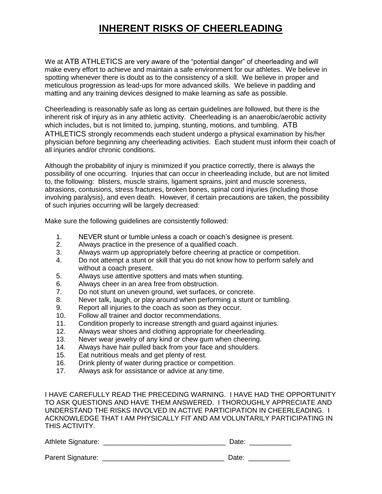# **INHERENT RISKS OF CHEERLEADING**

We at ATB ATHLETICS are very aware of the "potential danger" of cheerleading and will make every effort to achieve and maintain a safe environment for our athletes. We believe in spotting whenever there is doubt as to the consistency of a skill. We believe in proper and meticulous progression as lead-ups for more advanced skills. We believe in padding and matting and any training devices designed to make learning as safe as possible.

Cheerleading is reasonably safe as long as certain guidelines are followed, but there is the inherent risk of injury as in any athletic activity. Cheerleading is an anaerobic/aerobic activity which includes, but is not limited to, jumping, stunting, motions, and tumbling. ATB ATHLETICS strongly recommends each student undergo a physical examination by his/her physician before beginning any cheerleading activities. Each student must inform their coach of all injuries and/or chronic conditions.

Although the probability of injury is minimized if you practice correctly, there is always the possibility of one occurring. Injuries that can occur in cheerleading include, but are not limited to, the following: blisters, muscle strains, ligament sprains, joint and muscle soreness, abrasions, contusions, stress fractures, broken bones, spinal cord injuries (including those involving paralysis), and even death. However, if certain precautions are taken, the possibility of such injuries occurring will be largely decreased:

Make sure the following guidelines are consistently followed:

- 1. NEVER stunt or tumble unless a coach or coach's designee is present.
- 2. Always practice in the presence of a qualified coach.
- 3. Always warm up appropriately before cheering at practice or competition.
- 4. Do not attempt a stunt or skill that you do not know how to perform safely and without a coach present.
- 5. Always use attentive spotters and mats when stunting.
- 6. Always cheer in an area free from obstruction.
- 7. Do not stunt on uneven ground, wet surfaces, or concrete.
- 8. Never talk, laugh, or play around when performing a stunt or tumbling.
- 9. Report all injuries to the coach as soon as they occur.
- 10. Follow all trainer and doctor recommendations.
- 11. Condition properly to increase strength and guard against injuries.
- 12. Always wear shoes and clothing appropriate for cheerleading.
- 13. Never wear jewelry of any kind or chew gum when cheering.
- 14. Always have hair pulled back from your face and shoulders.
- 15. Eat nutritious meals and get plenty of rest.
- 16. Drink plenty of water during practice or competition.
- 17. Always ask for assistance or advice at any time.

I HAVE CAREFULLY READ THE PRECEDING WARNING. I HAVE HAD THE OPPORTUNITY TO ASK QUESTIONS AND HAVE THEM ANSWERED. I THOROUGHLY APPRECIATE AND UNDERSTAND THE RISKS INVOLVED IN ACTIVE PARTICIPATION IN CHEERLEADING. I ACKNOWLEDGE THAT I AM PHYSICALLY FIT AND AM VOLUNTARILY PARTICIPATING IN THIS ACTIVITY.

| Athlete Signature: | Date: |
|--------------------|-------|
| Parent Signature:  | Date: |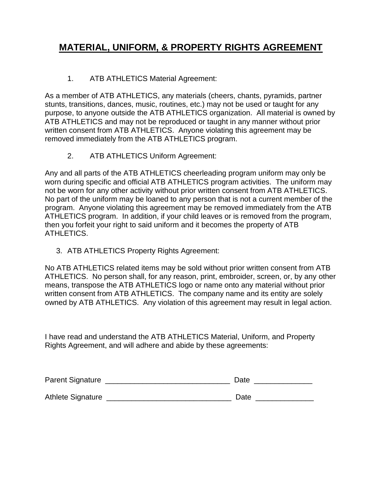## **MATERIAL, UNIFORM, & PROPERTY RIGHTS AGREEMENT**

### 1. ATB ATHLETICS Material Agreement:

As a member of ATB ATHLETICS, any materials (cheers, chants, pyramids, partner stunts, transitions, dances, music, routines, etc.) may not be used or taught for any purpose, to anyone outside the ATB ATHLETICS organization. All material is owned by ATB ATHLETICS and may not be reproduced or taught in any manner without prior written consent from ATB ATHLETICS. Anyone violating this agreement may be removed immediately from the ATB ATHLETICS program.

2. ATB ATHLETICS Uniform Agreement:

Any and all parts of the ATB ATHLETICS cheerleading program uniform may only be worn during specific and official ATB ATHLETICS program activities. The uniform may not be worn for any other activity without prior written consent from ATB ATHLETICS. No part of the uniform may be loaned to any person that is not a current member of the program. Anyone violating this agreement may be removed immediately from the ATB ATHLETICS program. In addition, if your child leaves or is removed from the program, then you forfeit your right to said uniform and it becomes the property of ATB ATHLETICS.

3. ATB ATHLETICS Property Rights Agreement:

No ATB ATHLETICS related items may be sold without prior written consent from ATB ATHLETICS. No person shall, for any reason, print, embroider, screen, or, by any other means, transpose the ATB ATHLETICS logo or name onto any material without prior written consent from ATB ATHLETICS. The company name and its entity are solely owned by ATB ATHLETICS. Any violation of this agreement may result in legal action.

I have read and understand the ATB ATHLETICS Material, Uniform, and Property Rights Agreement, and will adhere and abide by these agreements:

| <b>Parent Signature</b>  | Date |
|--------------------------|------|
| <b>Athlete Signature</b> | Date |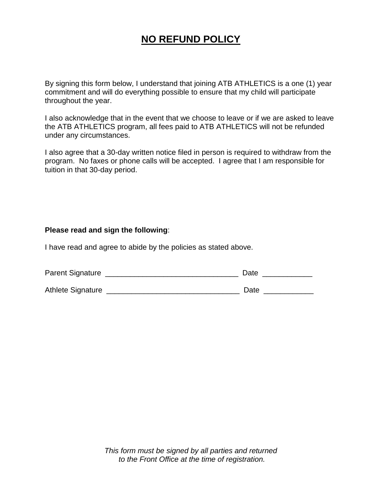# **NO REFUND POLICY**

By signing this form below, I understand that joining ATB ATHLETICS is a one (1) year commitment and will do everything possible to ensure that my child will participate throughout the year.

I also acknowledge that in the event that we choose to leave or if we are asked to leave the ATB ATHLETICS program, all fees paid to ATB ATHLETICS will not be refunded under any circumstances.

I also agree that a 30-day written notice filed in person is required to withdraw from the program. No faxes or phone calls will be accepted. I agree that I am responsible for tuition in that 30-day period.

#### **Please read and sign the following**:

I have read and agree to abide by the policies as stated above.

| <b>Parent Signature</b>  | Date |
|--------------------------|------|
| <b>Athlete Signature</b> | Date |